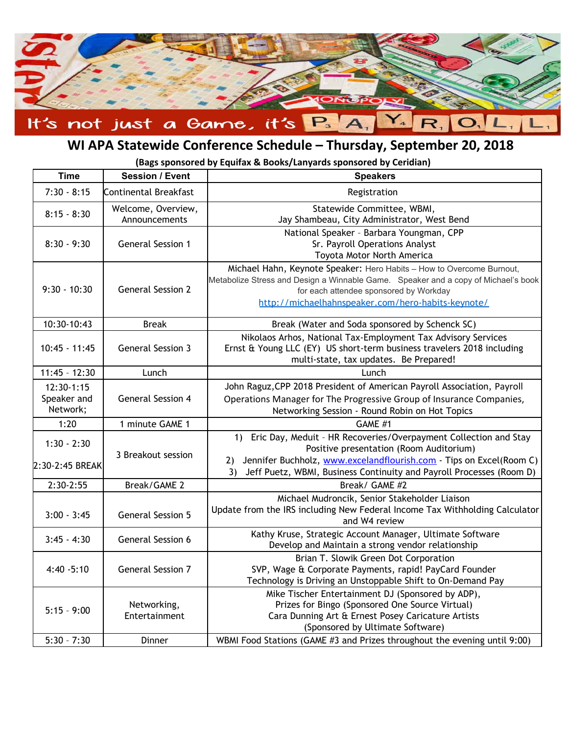

## **WI APA Statewide Conference Schedule – Thursday, September 20, 2018**

**(Bags sponsored by Equifax & Books/Lanyards sponsored by Ceridian)**

| <b>Time</b>                             | <b>Session / Event</b>              | <b>Speakers</b>                                                                                                                                                                                                                                                        |
|-----------------------------------------|-------------------------------------|------------------------------------------------------------------------------------------------------------------------------------------------------------------------------------------------------------------------------------------------------------------------|
| $7:30 - 8:15$                           | Continental Breakfast               | Registration                                                                                                                                                                                                                                                           |
| $8:15 - 8:30$                           | Welcome, Overview,<br>Announcements | Statewide Committee, WBMI,<br>Jay Shambeau, City Administrator, West Bend                                                                                                                                                                                              |
| $8:30 - 9:30$                           | <b>General Session 1</b>            | National Speaker - Barbara Youngman, CPP<br>Sr. Payroll Operations Analyst<br>Toyota Motor North America                                                                                                                                                               |
| $9:30 - 10:30$                          | <b>General Session 2</b>            | Michael Hahn, Keynote Speaker: Hero Habits - How to Overcome Burnout,<br>Metabolize Stress and Design a Winnable Game. Speaker and a copy of Michael's book<br>for each attendee sponsored by Workday<br>http://michaelhahnspeaker.com/hero-habits-keynote/            |
| 10:30-10:43                             | <b>Break</b>                        | Break (Water and Soda sponsored by Schenck SC)                                                                                                                                                                                                                         |
| $10:45 - 11:45$                         | <b>General Session 3</b>            | Nikolaos Arhos, National Tax-Employment Tax Advisory Services<br>Ernst & Young LLC (EY) US short-term business travelers 2018 including<br>multi-state, tax updates. Be Prepared!                                                                                      |
| $11:45 - 12:30$                         | Lunch                               | Lunch                                                                                                                                                                                                                                                                  |
| $12:30-1:15$<br>Speaker and<br>Network; | <b>General Session 4</b>            | John Raguz, CPP 2018 President of American Payroll Association, Payroll<br>Operations Manager for The Progressive Group of Insurance Companies,<br>Networking Session - Round Robin on Hot Topics                                                                      |
| 1:20                                    | 1 minute GAME 1                     | GAME #1                                                                                                                                                                                                                                                                |
| $1:30 - 2:30$<br>2:30-2:45 BREAK        | 3 Breakout session                  | Eric Day, Meduit - HR Recoveries/Overpayment Collection and Stay<br>1)<br>Positive presentation (Room Auditorium)<br>2) Jennifer Buchholz, www.excelandflourish.com - Tips on Excel(Room C)<br>3) Jeff Puetz, WBMI, Business Continuity and Payroll Processes (Room D) |
| $2:30-2:55$                             | Break/GAME 2                        | Break/ GAME #2                                                                                                                                                                                                                                                         |
| $3:00 - 3:45$                           | General Session 5                   | Michael Mudroncik, Senior Stakeholder Liaison<br>Update from the IRS including New Federal Income Tax Withholding Calculator<br>and W4 review                                                                                                                          |
| $3:45 - 4:30$                           | General Session 6                   | Kathy Kruse, Strategic Account Manager, Ultimate Software<br>Develop and Maintain a strong vendor relationship                                                                                                                                                         |
| $4:40 - 5:10$                           | <b>General Session 7</b>            | Brian T. Slowik Green Dot Corporation<br>SVP, Wage & Corporate Payments, rapid! PayCard Founder<br>Technology is Driving an Unstoppable Shift to On-Demand Pay                                                                                                         |
| $5:15 - 9:00$                           | Networking,<br>Entertainment        | Mike Tischer Entertainment DJ (Sponsored by ADP),<br>Prizes for Bingo (Sponsored One Source Virtual)<br>Cara Dunning Art & Ernest Posey Caricature Artists<br>(Sponsored by Ultimate Software)                                                                         |
| $5:30 - 7:30$                           | Dinner                              | WBMI Food Stations (GAME #3 and Prizes throughout the evening until 9:00)                                                                                                                                                                                              |